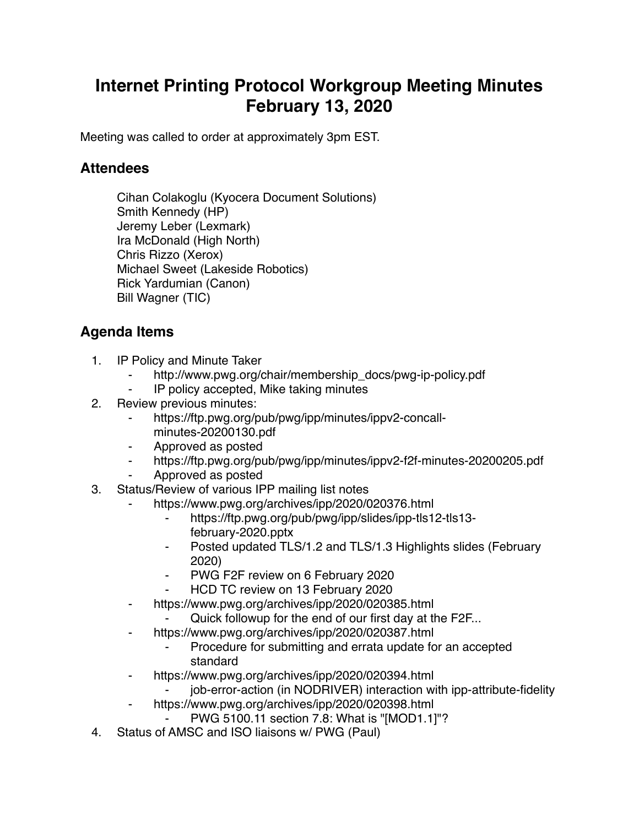## **Internet Printing Protocol Workgroup Meeting Minutes February 13, 2020**

Meeting was called to order at approximately 3pm EST.

## **Attendees**

Cihan Colakoglu (Kyocera Document Solutions) Smith Kennedy (HP) Jeremy Leber (Lexmark) Ira McDonald (High North) Chris Rizzo (Xerox) Michael Sweet (Lakeside Robotics) Rick Yardumian (Canon) Bill Wagner (TIC)

## **Agenda Items**

- 1. IP Policy and Minute Taker
	- http://www.pwg.org/chair/membership\_docs/pwg-ip-policy.pdf
	- IP policy accepted, Mike taking minutes
- 2. Review previous minutes:
	- https://ftp.pwg.org/pub/pwg/ipp/minutes/ippv2-concallminutes-20200130.pdf
	- ⁃ Approved as posted
	- https://ftp.pwg.org/pub/pwg/ipp/minutes/ippv2-f2f-minutes-20200205.pdf
	- ⁃ Approved as posted
- 3. Status/Review of various IPP mailing list notes
	- https://www.pwg.org/archives/ipp/2020/020376.html
		- ⁃ https://ftp.pwg.org/pub/pwg/ipp/slides/ipp-tls12-tls13 february-2020.pptx
		- ⁃ Posted updated TLS/1.2 and TLS/1.3 Highlights slides (February 2020)
		- ⁃ PWG F2F review on 6 February 2020
		- HCD TC review on 13 February 2020
	- ⁃ https://www.pwg.org/archives/ipp/2020/020385.html
		- Quick followup for the end of our first day at the F2F...
		- https://www.pwg.org/archives/ipp/2020/020387.html
			- Procedure for submitting and errata update for an accepted standard
	- ⁃ https://www.pwg.org/archives/ipp/2020/020394.html
		- job-error-action (in NODRIVER) interaction with ipp-attribute-fidelity
		- https://www.pwg.org/archives/ipp/2020/020398.html
			- ⁃ PWG 5100.11 section 7.8: What is "[MOD1.1]"?
- 4. Status of AMSC and ISO liaisons w/ PWG (Paul)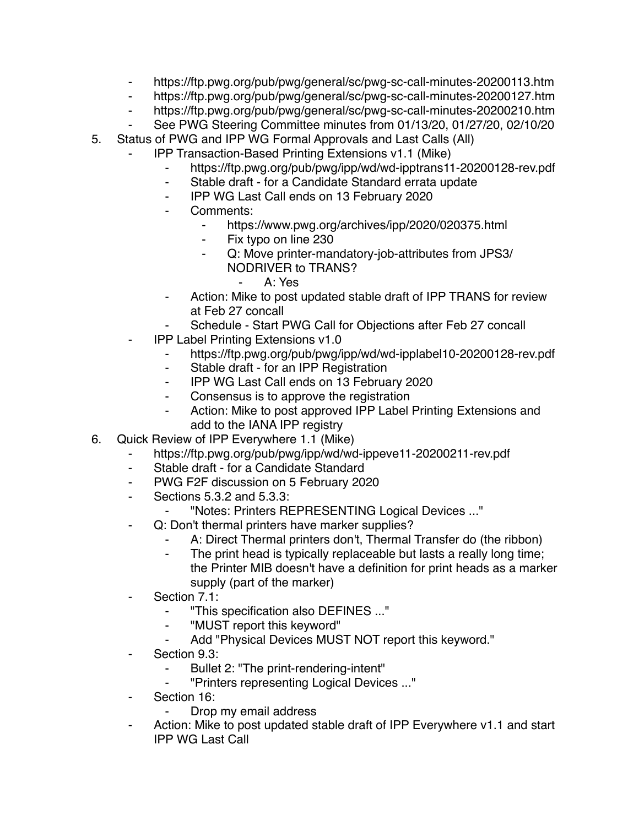- ⁃ https://ftp.pwg.org/pub/pwg/general/sc/pwg-sc-call-minutes-20200113.htm
- ⁃ https://ftp.pwg.org/pub/pwg/general/sc/pwg-sc-call-minutes-20200127.htm
- https://ftp.pwg.org/pub/pwg/general/sc/pwg-sc-call-minutes-20200210.htm
- See PWG Steering Committee minutes from 01/13/20, 01/27/20, 02/10/20
- 5. Status of PWG and IPP WG Formal Approvals and Last Calls (All)
	- **IPP Transaction-Based Printing Extensions v1.1 (Mike)** 
		- ⁃ https://ftp.pwg.org/pub/pwg/ipp/wd/wd-ipptrans11-20200128-rev.pdf
		- ⁃ Stable draft for a Candidate Standard errata update
		- ⁃ IPP WG Last Call ends on 13 February 2020
		- Comments:
			- https://www.pwg.org/archives/ipp/2020/020375.html
			- ⁃ Fix typo on line 230
			- Q: Move printer-mandatory-job-attributes from JPS3/ NODRIVER to TRANS?
				- ⁃ A: Yes
		- Action: Mike to post updated stable draft of IPP TRANS for review at Feb 27 concall
		- Schedule Start PWG Call for Objections after Feb 27 concall
		- **IPP Label Printing Extensions v1.0** 
			- ⁃ https://ftp.pwg.org/pub/pwg/ipp/wd/wd-ipplabel10-20200128-rev.pdf
			- ⁃ Stable draft for an IPP Registration
			- ⁃ IPP WG Last Call ends on 13 February 2020
			- Consensus is to approve the registration
			- ⁃ Action: Mike to post approved IPP Label Printing Extensions and add to the IANA IPP registry
- 6. Quick Review of IPP Everywhere 1.1 (Mike)
	- ⁃ https://ftp.pwg.org/pub/pwg/ipp/wd/wd-ippeve11-20200211-rev.pdf
	- Stable draft for a Candidate Standard
	- PWG F2F discussion on 5 February 2020
	- ⁃ Sections 5.3.2 and 5.3.3:
		- ⁃ "Notes: Printers REPRESENTING Logical Devices ..."
	- ⁃ Q: Don't thermal printers have marker supplies?
		- A: Direct Thermal printers don't, Thermal Transfer do (the ribbon)
		- ⁃ The print head is typically replaceable but lasts a really long time; the Printer MIB doesn't have a definition for print heads as a marker supply (part of the marker)
	- Section 7.1:
		- ⁃ "This specification also DEFINES ..."
		- ⁃ "MUST report this keyword"
		- Add "Physical Devices MUST NOT report this keyword."
	- Section 9.3:
		- Bullet 2: "The print-rendering-intent"
		- ⁃ "Printers representing Logical Devices ..."
	- Section 16:
		- Drop my email address
	- Action: Mike to post updated stable draft of IPP Everywhere v1.1 and start IPP WG Last Call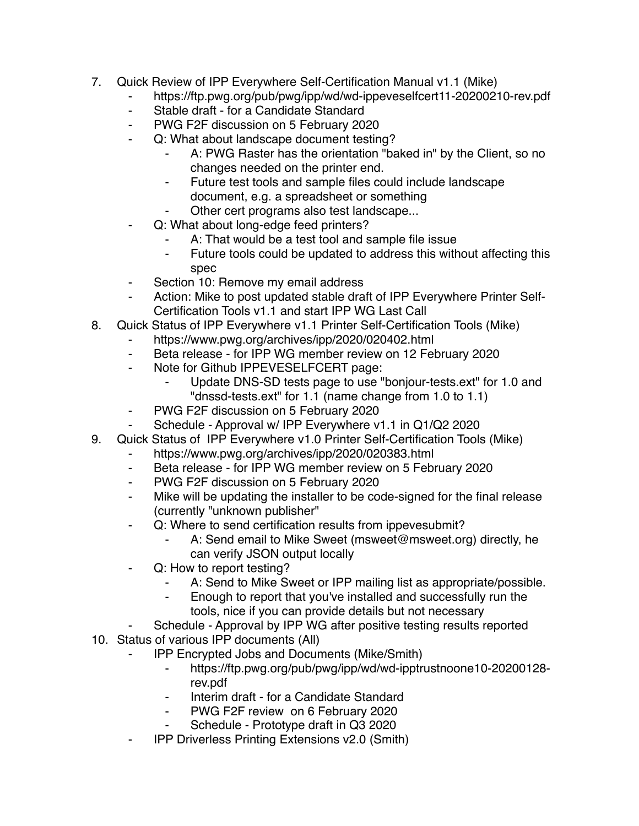- 7. Quick Review of IPP Everywhere Self-Certification Manual v1.1 (Mike)
	- ⁃ https://ftp.pwg.org/pub/pwg/ipp/wd/wd-ippeveselfcert11-20200210-rev.pdf
	- Stable draft for a Candidate Standard
	- ⁃ PWG F2F discussion on 5 February 2020
	- Q: What about landscape document testing?
		- A: PWG Raster has the orientation "baked in" by the Client, so no changes needed on the printer end.
		- ⁃ Future test tools and sample files could include landscape document, e.g. a spreadsheet or something
		- Other cert programs also test landscape...
	- Q: What about long-edge feed printers?
		- A: That would be a test tool and sample file issue
		- Future tools could be updated to address this without affecting this spec
	- ⁃ Section 10: Remove my email address
	- Action: Mike to post updated stable draft of IPP Everywhere Printer Self-Certification Tools v1.1 and start IPP WG Last Call
- 8. Quick Status of IPP Everywhere v1.1 Printer Self-Certification Tools (Mike)
	- https://www.pwg.org/archives/ipp/2020/020402.html
		- ⁃ Beta release for IPP WG member review on 12 February 2020
		- ⁃ Note for Github IPPEVESELFCERT page:
			- Update DNS-SD tests page to use "bonjour-tests.ext" for 1.0 and "dnssd-tests.ext" for 1.1 (name change from 1.0 to 1.1)
		- PWG F2F discussion on 5 February 2020
	- Schedule Approval w/ IPP Everywhere v1.1 in Q1/Q2 2020
- 9. Quick Status of IPP Everywhere v1.0 Printer Self-Certification Tools (Mike)
	- https://www.pwg.org/archives/ipp/2020/020383.html
	- Beta release for IPP WG member review on 5 February 2020
	- PWG F2F discussion on 5 February 2020
	- Mike will be updating the installer to be code-signed for the final release (currently "unknown publisher"
	- ⁃ Q: Where to send certification results from ippevesubmit?
		- A: Send email to Mike Sweet (msweet@msweet.org) directly, he can verify JSON output locally
	- ⁃ Q: How to report testing?
		- A: Send to Mike Sweet or IPP mailing list as appropriate/possible.
		- ⁃ Enough to report that you've installed and successfully run the tools, nice if you can provide details but not necessary
	- Schedule Approval by IPP WG after positive testing results reported
- 10. Status of various IPP documents (All)
	- ⁃ IPP Encrypted Jobs and Documents (Mike/Smith)
		- ⁃ https://ftp.pwg.org/pub/pwg/ipp/wd/wd-ipptrustnoone10-20200128 rev.pdf
		- Interim draft for a Candidate Standard
		- PWG F2F review on 6 February 2020
		- Schedule Prototype draft in Q3 2020
	- **IPP Driverless Printing Extensions v2.0 (Smith)**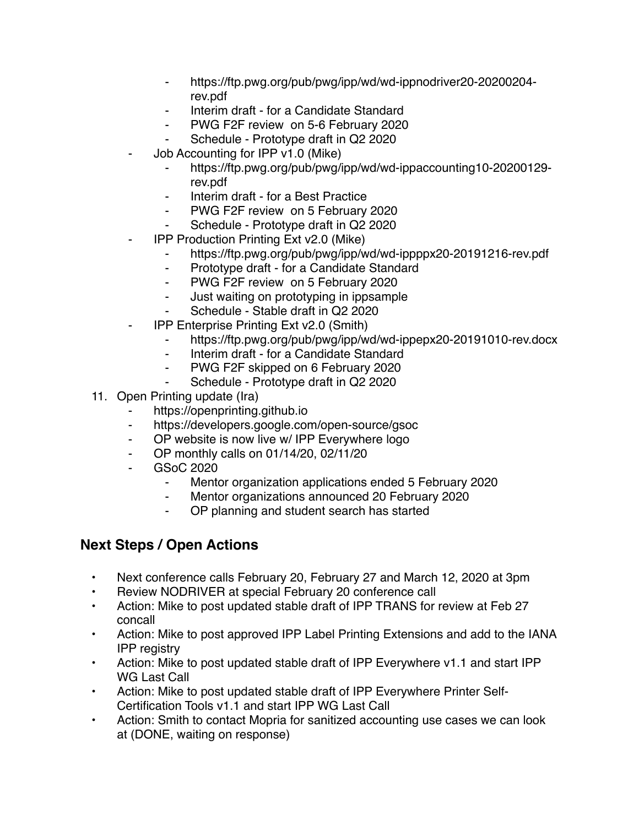- ⁃ https://ftp.pwg.org/pub/pwg/ipp/wd/wd-ippnodriver20-20200204 rev.pdf
- ⁃ Interim draft for a Candidate Standard
- ⁃ PWG F2F review on 5-6 February 2020
- Schedule Prototype draft in Q2 2020
- Job Accounting for IPP v1.0 (Mike)
	- ⁃ https://ftp.pwg.org/pub/pwg/ipp/wd/wd-ippaccounting10-20200129 rev.pdf
	- Interim draft for a Best Practice
	- ⁃ PWG F2F review on 5 February 2020
	- Schedule Prototype draft in Q2 2020
- **IPP Production Printing Ext v2.0 (Mike)** 
	- ⁃ https://ftp.pwg.org/pub/pwg/ipp/wd/wd-ippppx20-20191216-rev.pdf
	- ⁃ Prototype draft for a Candidate Standard
	- ⁃ PWG F2F review on 5 February 2020
	- Just waiting on prototyping in ippsample
	- Schedule Stable draft in Q2 2020
- **IPP Enterprise Printing Ext v2.0 (Smith)** 
	- https://ftp.pwg.org/pub/pwg/ipp/wd/wd-ippepx20-20191010-rev.docx
	- ⁃ Interim draft for a Candidate Standard
	- PWG F2F skipped on 6 February 2020
	- ⁃ Schedule Prototype draft in Q2 2020
- 11. Open Printing update (Ira)
	- https://openprinting.github.io
	- ⁃ https://developers.google.com/open-source/gsoc
	- ⁃ OP website is now live w/ IPP Everywhere logo
	- OP monthly calls on 01/14/20, 02/11/20
	- ⁃ GSoC 2020
		- ⁃ Mentor organization applications ended 5 February 2020
		- Mentor organizations announced 20 February 2020
		- ⁃ OP planning and student search has started

## **Next Steps / Open Actions**

- Next conference calls February 20, February 27 and March 12, 2020 at 3pm
- Review NODRIVER at special February 20 conference call
- Action: Mike to post updated stable draft of IPP TRANS for review at Feb 27 concall
- Action: Mike to post approved IPP Label Printing Extensions and add to the IANA IPP registry
- Action: Mike to post updated stable draft of IPP Everywhere v1.1 and start IPP WG Last Call
- Action: Mike to post updated stable draft of IPP Everywhere Printer Self-Certification Tools v1.1 and start IPP WG Last Call
- Action: Smith to contact Mopria for sanitized accounting use cases we can look at (DONE, waiting on response)